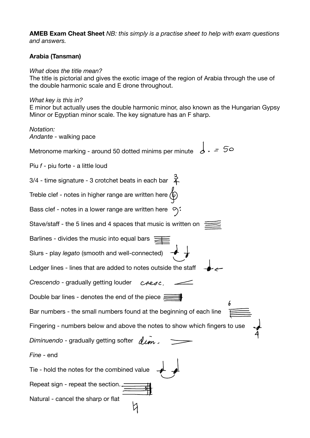**AMEB Exam Cheat Sheet** *NB: this simply is a practise sheet to help with exam questions and answers.* 

## **Arabia (Tansman)**

## *What does the title mean?*

The title is pictorial and gives the exotic image of the region of Arabia through the use of the double harmonic scale and E drone throughout.

## *What key is this in?*

E minor but actually uses the double harmonic minor, also known as the Hungarian Gypsy Minor or Egyptian minor scale. The key signature has an F sharp.

*Notation: Andante* - walking pace

Metronome marking - around 50 dotted minims per minute  $\frac{1}{6}$   $=$  50

Piu *f* - piu forte - a little loud

 $3/4$  - time signature - 3 crotchet beats in each bar  $\overrightarrow{4}$ Treble clef - notes in higher range are written here  $\langle \hat{\phi} \rangle$ Bass clef - notes in a lower range are written here  $\varphi$ : Stave/staff - the 5 lines and 4 spaces that music is written on  $\equiv$ Barlines - divides the music into equal bars  $\equiv$ Slurs - play *legato* (smooth and well-connected) Ledger lines - lines that are added to notes outside the staff *Crescendo* - gradually getting louder cresc Double bar lines - denotes the end of the piece  $\equiv$ Bar numbers - the small numbers found at the beginning of each line Fingering - numbers below and above the notes to show which fingers to use *Diminuendo* - gradually getting softer  $\sqrt{1/m}$ . *Fine* - end Tie - hold the notes for the combined value Repeat sign - repeat the section. Natural - cancel the sharp or flat